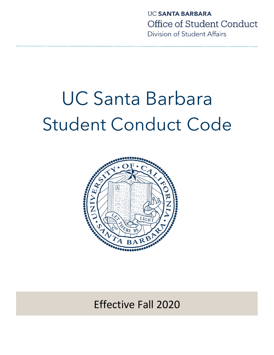# UC Santa Barbara Student Conduct Code



Effective Fall 2020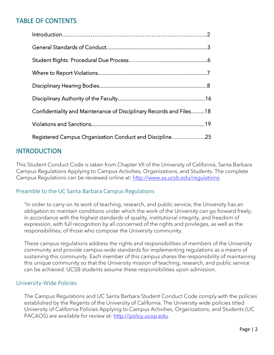## TABLE OF CONTENTS

| Confidentiality and Maintenance of Disciplinary Records and Files18 |
|---------------------------------------------------------------------|
|                                                                     |
| Registered Campus Organization Conduct and Discipline25             |

## **INTRODUCTION**

This Student Conduct Code is taken from Chapter VII of the University of California, Santa Barbara Campus Regulations Applying to Campus Activities, Organizations, and Students. The complete Campus Regulations can be reviewed online at: [http://www.sa.ucsb.edu/regulations.](http://www.sa.ucsb.edu/regulations)

#### Preamble to the UC Santa Barbara Campus Regulations

"In order to carry on its work of teaching, research, and public service, the University has an obligation to maintain conditions under which the work of the University can go forward freely, in accordance with the highest standards of quality, institutional integrity, and freedom of expression, with full recognition by all concerned of the rights and privileges, as well as the responsibilities, of those who compose the University community.

These campus regulations address the rights and responsibilities of members of the University community and provide campus-wide standards for implementing regulations as a means of sustaining this community. Each member of this campus shares the responsibility of maintaining this unique community so that the University mission of teaching, research, and public service can be achieved. UCSB students assume these responsibilities upon admission.

#### University-Wide Policies

The Campus Regulations and UC Santa Barbara Student Conduct Code comply with the policies established by the Regents of the University of California. The University-wide policies titled University of California Policies Applying to Campus Activities, Organizations, and Students (UC PACAOS) are available for review at: [http://policy.ucop.edu.](http://policy.ucop.edu/)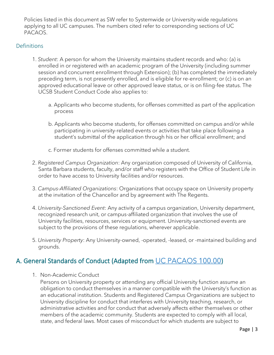Policies listed in this document as SW refer to Systemwide or University-wide regulations applying to all UC campuses. The numbers cited refer to corresponding sections of UC PACAOS.

### **Definitions**

- 1. *Student*: A person for whom the University maintains student records and who: (a) is enrolled in or registered with an academic program of the University (including summer session and concurrent enrollment through Extension); (b) has completed the immediately preceding term, is not presently enrolled, and is eligible for re-enrollment; or (c) is on an approved educational leave or other approved leave status, or is on filing-fee status. The UCSB Student Conduct Code also applies to:
	- a. Applicants who become students, for offenses committed as part of the application process
	- b. Applicants who become students, for offenses committed on campus and/or while participating in university-related events or activities that take place following a student's submittal of the application through his or her official enrollment; and
	- c. Former students for offenses committed while a student.
- 2. *Registered Campus Organization*: Any organization composed of University of California, Santa Barbara students, faculty, and/or staff who registers with the Office of Student Life in order to have access to University facilities and/or resources.
- 3. *Campus-Affiliated Organizations*: Organizations that occupy space on University property at the invitation of the Chancellor and by agreement with The Regents.
- 4. *University-Sanctioned Event*: Any activity of a campus organization, University department, recognized research unit, or campus-affiliated organization that involves the use of University facilities, resources, services or equipment. University-sanctioned events are subject to the provisions of these regulations, wherever applicable.
- 5. *University Property*: Any University-owned, -operated, -leased, or -maintained building and grounds.

# A. General Standards of Conduct (Adapted from [UC PACAOS 100.00](https://policy.ucop.edu/doc/2710530/PACAOS-100))

1. Non-Academic Conduct

Persons on University property or attending any official University function assume an obligation to conduct themselves in a manner compatible with the University's function as an educational institution. Students and Registered Campus Organizations are subject to University discipline for conduct that interferes with University teaching, research, or administrative activities and for conduct that adversely affects either themselves or other members of the academic community. Students are expected to comply with all local, state, and federal laws. Most cases of misconduct for which students are subject to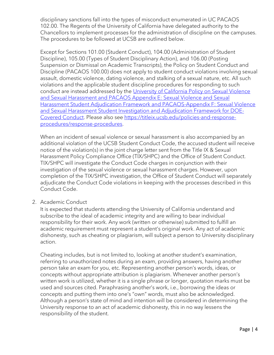disciplinary sanctions fall into the types of misconduct enumerated in UC PACAOS 102.00. The Regents of the University of California have delegated authority to the Chancellors to implement processes for the administration of discipline on the campuses. The procedures to be followed at UCSB are outlined below.

Except for Sections 101.00 (Student Conduct), 104.00 (Administration of Student Discipline), 105.00 (Types of Student Disciplinary Action), and 106.00 (Posting Suspension or Dismissal on Academic Transcripts), the Policy on Student Conduct and Discipline (PACAOS 100.00) does not apply to student conduct violations involving sexual assault, domestic violence, dating violence, and stalking of a sexual nature, etc. All such violations and the applicable student discipline procedures for responding to such conduct are instead addressed by the [University of California Policy on Sexual Violence](http://policy.ucop.edu/doc/4000385/SVSH)  [and Sexual Harassment and PACAOS Appendix E: Sexual Violence and Sexual](http://policy.ucop.edu/doc/4000385/SVSH)  [Harassment Student Adjudication Framework and PACAOS-Appendix F: Sexual Violence](http://policy.ucop.edu/doc/4000385/SVSH)  [and Sexual Harassment Student Investigation and Adjudication Framework for DOE-](http://policy.ucop.edu/doc/4000385/SVSH)[Covered Conduct.](http://policy.ucop.edu/doc/4000385/SVSH) Please also see [https://titleix.ucsb.edu/policies-and-response](https://titleix.ucsb.edu/policies-and-response-procedures/response-procedures)[procedures/response-procedures.](https://titleix.ucsb.edu/policies-and-response-procedures/response-procedures)

When an incident of sexual violence or sexual harassment is also accompanied by an additional violation of the UCSB Student Conduct Code, the accused student will receive notice of the violation(s) in the joint charge letter sent from the Title IX & Sexual Harassment Policy Compliance Office (TIX/SHPC) and the Office of Student Conduct. TIX/SHPC will investigate the Conduct Code charges in conjunction with their investigation of the sexual violence or sexual harassment charges. However, upon completion of the TIX/SHPC investigation, the Office of Student Conduct will separately adjudicate the Conduct Code violations in keeping with the processes described in this Conduct Code.

#### 2. Academic Conduct

It is expected that students attending the University of California understand and subscribe to the ideal of academic integrity and are willing to bear individual responsibility for their work. Any work (written or otherwise) submitted to fulfill an academic requirement must represent a student's original work. Any act of academic dishonesty, such as cheating or plagiarism, will subject a person to University disciplinary action.

Cheating includes, but is not limited to, looking at another student's examination, referring to unauthorized notes during an exam, providing answers, having another person take an exam for you, etc. Representing another person's words, ideas, or concepts without appropriate attribution is plagiarism. Whenever another person's written work is utilized, whether it is a single phrase or longer, quotation marks must be used and sources cited. Paraphrasing another's work, i.e., borrowing the ideas or concepts and putting them into one's "own" words, must also be acknowledged. Although a person's state of mind and intention will be considered in determining the University response to an act of academic dishonesty, this in no way lessens the responsibility of the student.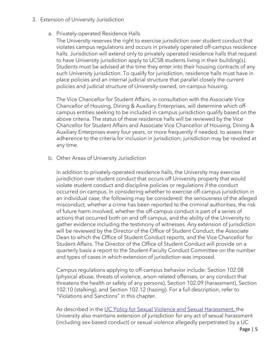- 3. Extension of University Jurisdiction
	- a. Privately-operated Residence Halls

The University reserves the right to exercise jurisdiction over student conduct that violates campus regulations and occurs in privately operated off-campus residence halls. Jurisdiction will extend only to privately operated residence halls that request to have University jurisdiction apply to UCSB students living in their building(s). Students must be advised at the time they enter into their housing contracts of any such University jurisdiction. To qualify for jurisdiction, residence halls must have in place policies and an internal judicial structure that parallel closely the current policies and judicial structure of University-owned, on-campus housing.

The Vice Chancellor for Student Affairs, in consultation with the Associate Vice Chancellor of Housing, Dining & Auxiliary Enterprises, will determine which offcampus entities seeking to be included in campus jurisdiction qualify based on the above criteria. The status of these residence halls will be reviewed by the Vice Chancellor for Student Affairs and Associate Vice Chancellor of Housing, Dining & Auxiliary Enterprises every four years, or more frequently if needed, to assess their adherence to the criteria for inclusion in jurisdiction; jurisdiction may be revoked at any time.

b. Other Areas of University Jurisdiction

In addition to privately-operated residence halls, the University may exercise jurisdiction over student conduct that occurs off University property that would violate student conduct and discipline policies or regulations if the conduct occurred on campus. In considering whether to exercise off-campus jurisdiction in an individual case, the following may be considered: the seriousness of the alleged misconduct, whether a crime has been reported to the criminal authorities, the risk of future harm involved, whether the off-campus conduct is part of a series of actions that occurred both on and off campus, and the ability of the University to gather evidence including the testimony of witnesses. Any extension of jurisdiction will be reviewed by the Director of the Office of Student Conduct, the Associate Dean to which the Office of Student Conduct reports, and the Vice Chancellor for Student Affairs. The Director of the Office of Student Conduct will provide on a quarterly basis a report to the Student-Faculty Conduct Committee on the number and types of cases in which extension of jurisdiction was imposed.

Campus regulations applying to off-campus behavior include: Section 102.08 (physical abuse, threats of violence, arson-related offenses, or any conduct that threatens the health or safety of any persons), Section 102.09 (harassment), Section 102.10 (stalking), and Section 102.12 (hazing). For a full description, refer to "Violations and Sanctions" in this chapter.

As described in the [UC Policy for Sexual Violence and Sexual Harassment,](http://policy.ucop.edu/doc/4000385/SHSV) the University also maintains extension of jurisdiction for any act of sexual harassment (including sex-based conduct) or sexual violence allegedly perpetrated by a UC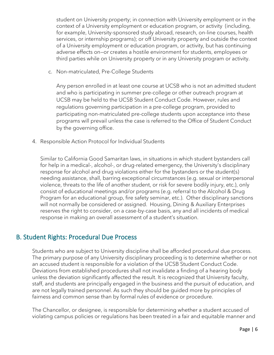student on University property; in connection with University employment or in the context of a University employment or education program, or activity (including, for example, University-sponsored study abroad, research, on-line courses, health services, or internship programs); or off University property and outside the context of a University employment or education program, or activity, but has continuing adverse effects on—or creates a hostile environment for students, employees or third parties while on University property or in any University program or activity.

c. Non-matriculated, Pre-College Students

Any person enrolled in at least one course at UCSB who is not an admitted student and who is participating in summer pre-college or other outreach program at UCSB may be held to the UCSB Student Conduct Code. However, rules and regulations governing participation in a pre-college program, provided to participating non-matriculated pre-college students upon acceptance into these programs will prevail unless the case is referred to the Office of Student Conduct by the governing office.

4. Responsible Action Protocol for Individual Students

Similar to California Good Samaritan laws, in situations in which student bystanders call for help in a medical-, alcohol-, or drug-related emergency, the University's disciplinary response for alcohol and drug violations either for the bystanders or the student(s) needing assistance, shall, barring exceptional circumstances (e.g. sexual or interpersonal violence, threats to the life of another student, or risk for severe bodily injury, etc.), only consist of educational meetings and/or programs (e.g. referral to the Alcohol & Drug Program for an educational group, fire safety seminar, etc.). Other disciplinary sanctions will not normally be considered or assigned. Housing, Dining & Auxiliary Enterprises reserves the right to consider, on a case-by-case basis, any and all incidents of medical response in making an overall assessment of a student's situation.

## B. Student Rights: Procedural Due Process

Students who are subject to University discipline shall be afforded procedural due process. The primary purpose of any University disciplinary proceeding is to determine whether or not an accused student is responsible for a violation of the UCSB Student Conduct Code. Deviations from established procedures shall not invalidate a finding of a hearing body unless the deviation significantly affected the result. It is recognized that University faculty, staff, and students are principally engaged in the business and the pursuit of education, and are not legally trained personnel. As such they should be guided more by principles of fairness and common sense than by formal rules of evidence or procedure.

The Chancellor, or designee, is responsible for determining whether a student accused of violating campus policies or regulations has been treated in a fair and equitable manner and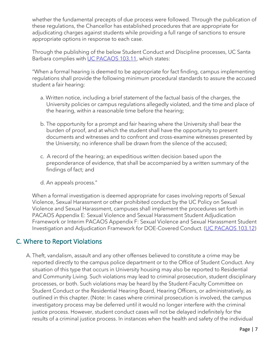whether the fundamental precepts of due process were followed. Through the publication of these regulations, the Chancellor has established procedures that are appropriate for adjudicating charges against students while providing a full range of sanctions to ensure appropriate options in response to each case.

Through the publishing of the below Student Conduct and Discipline processes, UC Santa Barbara complies with [UC PACAOS 103.11,](https://policy.ucop.edu/doc/2710530/PACAOS-100) which states:

"When a formal hearing is deemed to be appropriate for fact finding, campus implementing regulations shall provide the following minimum procedural standards to assure the accused student a fair hearing:

- a. Written notice, including a brief statement of the factual basis of the charges, the University policies or campus regulations allegedly violated, and the time and place of the hearing, within a reasonable time before the hearing;
- b. The opportunity for a prompt and fair hearing where the University shall bear the burden of proof, and at which the student shall have the opportunity to present documents and witnesses and to confront and cross-examine witnesses presented by the University; no inference shall be drawn from the silence of the accused;
- c. A record of the hearing; an expeditious written decision based upon the preponderance of evidence, that shall be accompanied by a written summary of the findings of fact; and
- d. An appeals process."

When a formal investigation is deemed appropriate for cases involving reports of Sexual Violence, Sexual Harassment or other prohibited conduct by the UC Policy on Sexual Violence and Sexual Harassment, campuses shall implement the procedures set forth in PACAOS Appendix E: Sexual Violence and Sexual Harassment Student Adjudication Framework or Interim PACAOS Appendix F: Sexual Violence and Sexual Harassment Student Investigation and Adjudication Framework for DOE-Covered Conduct. [\(UC PACAOS 103.12\)](https://policy.ucop.edu/doc/2710530/PACAOS-100)

## C. Where to Report Violations

A. Theft, vandalism, assault and any other offenses believed to constitute a crime may be reported directly to the campus police department or to the Office of Student Conduct. Any situation of this type that occurs in University housing may also be reported to Residential and Community Living. Such violations may lead to criminal prosecution, student disciplinary processes, or both. Such violations may be heard by the Student-Faculty Committee on Student Conduct or the Residential Hearing Board, Hearing Officers, or administratively, as outlined in this chapter. (Note: In cases where criminal prosecution is involved, the campus investigatory process may be deferred until it would no longer interfere with the criminal justice process. However, student conduct cases will not be delayed indefinitely for the results of a criminal justice process. In instances when the health and safety of the individual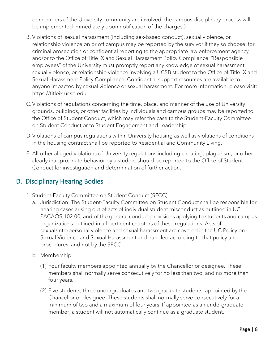or members of the University community are involved, the campus disciplinary process will be implemented immediately upon notification of the charges.)

- B. Violations of sexual harassment (including sex-based conduct), sexual violence, or relationship violence on or off campus may be reported by the survivor if they so choose for criminal prosecution or confidential reporting to the appropriate law enforcement agency and/or to the Office of Title IX and Sexual Harassment Policy Compliance. "Responsible employees" of the University must promptly report any knowledge of sexual harassment, sexual violence, or relationship violence involving a UCSB student to the Office of Title IX and Sexual Harassment Policy Compliance. Confidential support resources are available to anyone impacted by sexual violence or sexual harassment. For more information, please visit: https://titleix.ucsb.edu.
- C.Violations of regulations concerning the time, place, and manner of the use of University grounds, buildings, or other facilities by individuals and campus groups may be reported to the Office of Student Conduct, which may refer the case to the Student-Faculty Committee on Student Conduct or to Student Engagement and Leadership.
- D.Violations of campus regulations within University housing as well as violations of conditions in the housing contract shall be reported to Residential and Community Living.
- E. All other alleged violations of University regulations including cheating, plagiarism, or other clearly inappropriate behavior by a student should be reported to the Office of Student Conduct for investigation and determination of further action.

## D. Disciplinary Hearing Bodies

- 1. Student-Faculty Committee on Student Conduct (SFCC)
	- a. Jurisdiction: The Student-Faculty Committee on Student Conduct shall be responsible for hearing cases arising out of acts of individual student misconduct as outlined in UC PACAOS 102.00, and of the general conduct provisions applying to students and campus organizations outlined in all pertinent chapters of these regulations. Acts of sexual/interpersonal violence and sexual harassment are covered in the UC Policy on Sexual Violence and Sexual Harassment and handled according to that policy and procedures, and not by the SFCC.
	- b. Membership
		- (1) Four faculty members appointed annually by the Chancellor or designee. These members shall normally serve consecutively for no less than two, and no more than four years.
		- (2) Five students, three undergraduates and two graduate students, appointed by the Chancellor or designee. These students shall normally serve consecutively for a minimum of two and a maximum of four years. If appointed as an undergraduate member, a student will not automatically continue as a graduate student.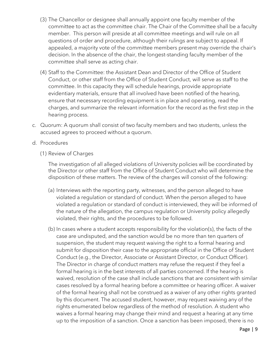- (3) The Chancellor or designee shall annually appoint one faculty member of the committee to act as the committee chair. The Chair of the Committee shall be a faculty member. This person will preside at all committee meetings and will rule on all questions of order and procedure, although their rulings are subject to appeal. If appealed, a majority vote of the committee members present may override the chair's decision. In the absence of the chair, the longest-standing faculty member of the committee shall serve as acting chair.
- (4) Staff to the Committee: the Assistant Dean and Director of the Office of Student Conduct, or other staff from the Office of Student Conduct, will serve as staff to the committee. In this capacity they will schedule hearings, provide appropriate evidentiary materials, ensure that all involved have been notified of the hearing, ensure that necessary recording equipment is in place and operating, read the charges, and summarize the relevant information for the record as the first step in the hearing process.
- c. Quorum: A quorum shall consist of two faculty members and two students, unless the accused agrees to proceed without a quorum.
- d. Procedures
	- (1) Review of Charges

The investigation of all alleged violations of University policies will be coordinated by the Director or other staff from the Office of Student Conduct who will determine the disposition of these matters. The review of the charges will consist of the following:

- (a) Interviews with the reporting party, witnesses, and the person alleged to have violated a regulation or standard of conduct. When the person alleged to have violated a regulation or standard of conduct is interviewed, they will be informed of the nature of the allegation, the campus regulation or University policy allegedly violated, their rights, and the procedures to be followed.
- (b) In cases where a student accepts responsibility for the violation(s), the facts of the case are undisputed, and the sanction would be no more than ten quarters of suspension, the student may request waiving the right to a formal hearing and submit for disposition their case to the appropriate official in the Office of Student Conduct (e.g., the Director, Associate or Assistant Director, or Conduct Officer). The Director in charge of conduct matters may refuse the request if they feel a formal hearing is in the best interests of all parties concerned. If the hearing is waived, resolution of the case shall include sanctions that are consistent with similar cases resolved by a formal hearing before a committee or hearing officer. A waiver of the formal hearing shall not be construed as a waiver of any other rights granted by this document. The accused student, however, may request waiving any of the rights enumerated below regardless of the method of resolution. A student who waives a formal hearing may change their mind and request a hearing at any time up to the imposition of a sanction. Once a sanction has been imposed, there is no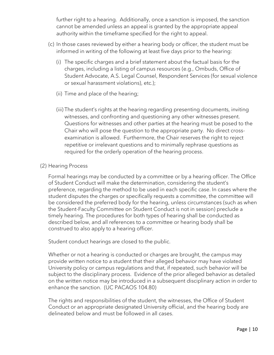further right to a hearing. Additionally, once a sanction is imposed, the sanction cannot be amended unless an appeal is granted by the appropriate appeal authority within the timeframe specified for the right to appeal.

- (c) In those cases reviewed by either a hearing body or officer, the student must be informed in writing of the following at least five days prior to the hearing:
	- (i) The specific charges and a brief statement about the factual basis for the charges, including a listing of campus resources (e.g., Ombuds, Office of Student Advocate, A.S. Legal Counsel, Respondent Services (for sexual violence or sexual harassment violations), etc.);
	- (ii) Time and place of the hearing;
	- (iii) The student's rights at the hearing regarding presenting documents, inviting witnesses, and confronting and questioning any other witnesses present. Questions for witnesses and other parties at the hearing must be posed to the Chair who will pose the question to the appropriate party. No direct crossexamination is allowed. Furthermore, the Chair reserves the right to reject repetitive or irrelevant questions and to minimally rephrase questions as required for the orderly operation of the hearing process.

#### (2) Hearing Process

Formal hearings may be conducted by a committee or by a hearing officer. The Office of Student Conduct will make the determination, considering the student's preference, regarding the method to be used in each specific case. In cases where the student disputes the charges or specifically requests a committee, the committee will be considered the preferred body for the hearing, unless circumstances (such as when the Student-Faculty Committee on Student Conduct is not in session) preclude a timely hearing. The procedures for both types of hearing shall be conducted as described below, and all references to a committee or hearing body shall be construed to also apply to a hearing officer.

Student conduct hearings are closed to the public.

Whether or not a hearing is conducted or charges are brought, the campus may provide written notice to a student that their alleged behavior may have violated University policy or campus regulations and that, if repeated, such behavior will be subject to the disciplinary process. Evidence of the prior alleged behavior as detailed on the written notice may be introduced in a subsequent disciplinary action in order to enhance the sanction. (UC PACAOS 104.80)

The rights and responsibilities of the student, the witnesses, the Office of Student Conduct or an appropriate designated University official, and the hearing body are delineated below and must be followed in all cases.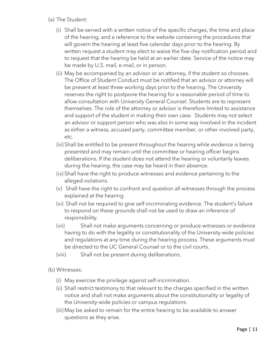- (a) The Student:
	- (i) Shall be served with a written notice of the specific charges, the time and place of the hearing, and a reference to the website containing the procedures that will govern the hearing at least five calendar days prior to the hearing. By written request a student may elect to waive the five-day notification period and to request that the hearing be held at an earlier date. Service of the notice may be made by U.S. mail, e-mail, or in person.
	- (ii) May be accompanied by an advisor or an attorney, if the student so chooses. The Office of Student Conduct must be notified that an advisor or attorney will be present at least three working days prior to the hearing. The University reserves the right to postpone the hearing for a reasonable period of time to allow consultation with University General Counsel. Students are to represent themselves. The role of the attorney or advisor is therefore limited to assistance and support of the student in making their own case. Students may not select an advisor or support person who was also in some way involved in the incident as either a witness, accused party, committee member, or other involved party, etc.
	- (iii) Shall be entitled to be present throughout the hearing while evidence is being presented and may remain until the committee or hearing officer begins deliberations. If the student does not attend the hearing or voluntarily leaves during the hearing, the case may be heard in their absence.
	- (iv) Shall have the right to produce witnesses and evidence pertaining to the alleged violations.
	- (v) Shall have the right to confront and question all witnesses through the process explained at the hearing.
	- (vi) Shall not be required to give self-incriminating evidence. The student's failure to respond on these grounds shall not be used to draw an inference of responsibility.
	- (vii) Shall not make arguments concerning or produce witnesses or evidence having to do with the legality or constitutionality of the University-wide policies and regulations at any time during the hearing process. These arguments must be directed to the UC General Counsel or to the civil courts.
	- (viii) Shall not be present during deliberations.
- (b) Witnesses:
	- (i) May exercise the privilege against self-incrimination.
	- (ii) Shall restrict testimony to that relevant to the charges specified in the written notice and shall not make arguments about the constitutionality or legality of the University-wide policies or campus regulations.
	- (iii) May be asked to remain for the entire hearing to be available to answer questions as they arise.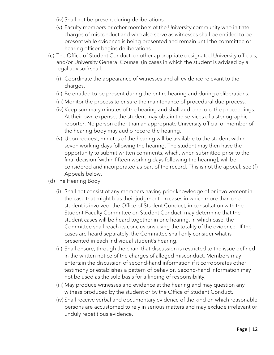- (iv) Shall not be present during deliberations.
- (v) Faculty members or other members of the University community who initiate charges of misconduct and who also serve as witnesses shall be entitled to be present while evidence is being presented and remain until the committee or hearing officer begins deliberations.
- (c) The Office of Student Conduct, or other appropriate designated University officials, and/or University General Counsel (in cases in which the student is advised by a legal advisor) shall:
	- (i) Coordinate the appearance of witnesses and all evidence relevant to the charges.
	- (ii) Be entitled to be present during the entire hearing and during deliberations.
	- (iii) Monitor the process to ensure the maintenance of procedural due process.
	- (iv) Keep summary minutes of the hearing and shall audio-record the proceedings. At their own expense, the student may obtain the services of a stenographic reporter. No person other than an appropriate University official or member of the hearing body may audio-record the hearing.
	- (v) Upon request, minutes of the hearing will be available to the student within seven working days following the hearing. The student may then have the opportunity to submit written comments, which, when submitted prior to the final decision [within fifteen working days following the hearing], will be considered and incorporated as part of the record. This is not the appeal; see (f) Appeals below.
- (d) The Hearing Body:
	- (i) Shall not consist of any members having prior knowledge of or involvement in the case that might bias their judgment. In cases in which more than one student is involved, the Office of Student Conduct, in consultation with the Student-Faculty Committee on Student Conduct, may determine that the student cases will be heard together in one hearing, in which case, the Committee shall reach its conclusions using the totality of the evidence. If the cases are heard separately, the Committee shall only consider what is presented in each individual student's hearing.
	- (ii) Shall ensure, through the chair, that discussion is restricted to the issue defined in the written notice of the charges of alleged misconduct. Members may entertain the discussion of second-hand information if it corroborates other testimony or establishes a pattern of behavior. Second-hand information may not be used as the sole basis for a finding of responsibility.
	- (iii) May produce witnesses and evidence at the hearing and may question any witness produced by the student or by the Office of Student Conduct.
	- (iv) Shall receive verbal and documentary evidence of the kind on which reasonable persons are accustomed to rely in serious matters and may exclude irrelevant or unduly repetitious evidence.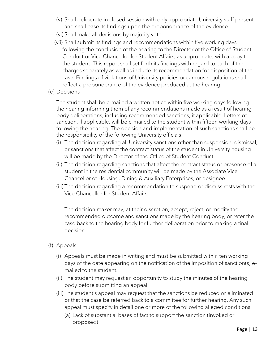- (v) Shall deliberate in closed session with only appropriate University staff present and shall base its findings upon the preponderance of the evidence.
- (vi) Shall make all decisions by majority vote.
- (vii) Shall submit its findings and recommendations within five working days following the conclusion of the hearing to the Director of the Office of Student Conduct or Vice Chancellor for Student Affairs, as appropriate, with a copy to the student. This report shall set forth its findings with regard to each of the charges separately as well as include its recommendation for disposition of the case. Findings of violations of University policies or campus regulations shall reflect a preponderance of the evidence produced at the hearing.
- (e) Decisions

The student shall be e-mailed a written notice within five working days following the hearing informing them of any recommendations made as a result of hearing body deliberations, including recommended sanctions, if applicable. Letters of sanction, if applicable, will be e-mailed to the student within fifteen working days following the hearing. The decision and implementation of such sanctions shall be the responsibility of the following University officials:

- (i) The decision regarding all University sanctions other than suspension, dismissal, or sanctions that affect the contract status of the student in University housing will be made by the Director of the Office of Student Conduct.
- (ii) The decision regarding sanctions that affect the contract status or presence of a student in the residential community will be made by the Associate Vice Chancellor of Housing, Dining & Auxiliary Enterprises, or designee.
- (iii) The decision regarding a recommendation to suspend or dismiss rests with the Vice Chancellor for Student Affairs.

The decision maker may, at their discretion, accept, reject, or modify the recommended outcome and sanctions made by the hearing body, or refer the case back to the hearing body for further deliberation prior to making a final decision.

- (f) Appeals
	- (i) Appeals must be made in writing and must be submitted within ten working days of the date appearing on the notification of the imposition of sanction(s) emailed to the student.
	- (ii) The student may request an opportunity to study the minutes of the hearing body before submitting an appeal.
	- (iii) The student's appeal may request that the sanctions be reduced or eliminated or that the case be referred back to a committee for further hearing. Any such appeal must specify in detail one or more of the following alleged conditions:
		- (a) Lack of substantial bases of fact to support the sanction (invoked or proposed)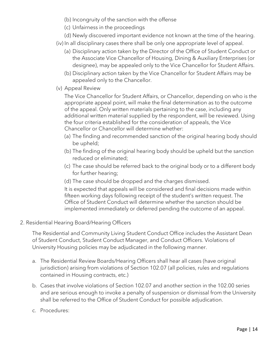- (b) Incongruity of the sanction with the offense
- (c) Unfairness in the proceedings
- (d) Newly discovered important evidence not known at the time of the hearing.
- (iv) In all disciplinary cases there shall be only one appropriate level of appeal.
	- (a) Disciplinary action taken by the Director of the Office of Student Conduct or the Associate Vice Chancellor of Housing, Dining & Auxiliary Enterprises (or designee), may be appealed only to the Vice Chancellor for Student Affairs.
	- (b) Disciplinary action taken by the Vice Chancellor for Student Affairs may be appealed only to the Chancellor.
- (v) Appeal Review

The Vice Chancellor for Student Affairs, or Chancellor, depending on who is the appropriate appeal point, will make the final determination as to the outcome of the appeal. Only written materials pertaining to the case, including any additional written material supplied by the respondent, will be reviewed. Using the four criteria established for the consideration of appeals, the Vice Chancellor or Chancellor will determine whether:

- (a) The finding and recommended sanction of the original hearing body should be upheld;
- (b) The finding of the original hearing body should be upheld but the sanction reduced or eliminated;
- (c) The case should be referred back to the original body or to a different body for further hearing;
- (d) The case should be dropped and the charges dismissed.

It is expected that appeals will be considered and final decisions made within fifteen working days following receipt of the student's written request. The Office of Student Conduct will determine whether the sanction should be implemented immediately or deferred pending the outcome of an appeal.

2. Residential Hearing Board/Hearing Officers

The Residential and Community Living Student Conduct Office includes the Assistant Dean of Student Conduct, Student Conduct Manager, and Conduct Officers. Violations of University Housing policies may be adjudicated in the following manner.

- a. The Residential Review Boards/Hearing Officers shall hear all cases (have original jurisdiction) arising from violations of Section 102.07 (all policies, rules and regulations contained in Housing contracts, etc.)
- b. Cases that involve violations of Section 102.07 and another section in the 102.00 series and are serious enough to invoke a penalty of suspension or dismissal from the University shall be referred to the Office of Student Conduct for possible adjudication.
- c. Procedures: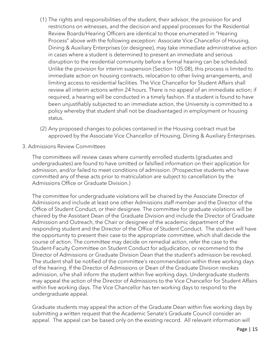- (1) The rights and responsibilities of the student, their advisor, the provision for and restrictions on witnesses, and the decision and appeal processes for the Residential Review Boards/Hearing Officers are identical to those enumerated in "Hearing Process" above with the following exception: Associate Vice Chancellor of Housing, Dining & Auxiliary Enterprises (or designee), may take immediate administrative action in cases where a student is determined to present an immediate and serious disruption to the residential community before a formal hearing can be scheduled. Unlike the provision for interim suspension (Section 105.08), this process is limited to immediate action on housing contracts, relocation to other living arrangements, and limiting access to residential facilities. The Vice Chancellor for Student Affairs shall review all interim actions within 24 hours. There is no appeal of an immediate action; if required, a hearing will be conducted in a timely fashion. If a student is found to have been unjustifiably subjected to an immediate action, the University is committed to a policy whereby that student shall not be disadvantaged in employment or housing status.
- (2) Any proposed changes to policies contained in the Housing contract must be approved by the Associate Vice Chancellor of Housing, Dining & Auxiliary Enterprises.
- 3. Admissions Review Committees

The committees will review cases where currently enrolled students (graduates and undergraduates) are found to have omitted or falsified information on their application for admission, and/or failed to meet conditions of admission. (Prospective students who have committed any of these acts prior to matriculation are subject to cancellation by the Admissions Office or Graduate Division.)

The committee for undergraduate violations will be chaired by the Associate Director of Admissions and include at least one other Admissions staff member and the Director of the Office of Student Conduct, or their designee. The committee for graduate violations will be chaired by the Assistant Dean of the Graduate Division and include the Director of Graduate Admission and Outreach, the Chair or designee of the academic department of the responding student and the Director of the Office of Student Conduct. The student will have the opportunity to present their case to the appropriate committee, which shall decide the course of action. The committee may decide on remedial action, refer the case to the Student-Faculty Committee on Student Conduct for adjudication, or recommend to the Director of Admissions or Graduate Division Dean that the student's admission be revoked. The student shall be notified of the committee's recommendation within three working days of the hearing. If the Director of Admissions or Dean of the Graduate Division revokes admission, s/he shall inform the student within five working days. Undergraduate students may appeal the action of the Director of Admissions to the Vice Chancellor for Student Affairs within five working days. The Vice Chancellor has ten working days to respond to the undergraduate appeal.

Graduate students may appeal the action of the Graduate Dean within five working days by submitting a written request that the Academic Senate's Graduate Council consider an appeal. The appeal can be based only on the existing record. All relevant information will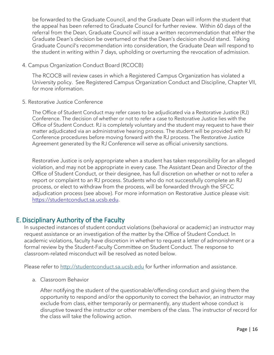be forwarded to the Graduate Council, and the Graduate Dean will inform the student that the appeal has been referred to Graduate Council for further review. Within 60 days of the referral from the Dean, Graduate Council will issue a written recommendation that either the Graduate Dean's decision be overturned or that the Dean's decision should stand. Taking Graduate Council's recommendation into consideration, the Graduate Dean will respond to the student in writing within 7 days, upholding or overturning the revocation of admission.

4. Campus Organization Conduct Board (RCOCB)

The RCOCB will review cases in which a Registered Campus Organization has violated a University policy. See Registered Campus Organization Conduct and Discipline, Chapter VII, for more information.

5. Restorative Justice Conference

The Office of Student Conduct may refer cases to be adjudicated via a Restorative Justice (RJ) Conference. The decision of whether or not to refer a case to Restorative Justice lies with the Office of Student Conduct. RJ is completely voluntary and the student may request to have their matter adjudicated via an administrative hearing process. The student will be provided with RJ Conference procedures before moving forward with the RJ process. The Restorative Justice Agreement generated by the RJ Conference will serve as official university sanctions.

Restorative Justice is only appropriate when a student has taken responsibility for an alleged violation, and may not be appropriate in every case. The Assistant Dean and Director of the Office of Student Conduct, or their designee, has full discretion on whether or not to refer a report or complaint to an RJ process. Students who do not successfully complete an RJ process, or elect to withdraw from the process, will be forwarded through the SFCC adjudication process (see above). For more information on Restorative Justice please visit: [https://studentconduct.sa.ucsb.edu.](https://studentconduct.sa.ucsb.edu/)

## E.Disciplinary Authority of the Faculty

In suspected instances of student conduct violations (behavioral or academic) an instructor may request assistance or an investigation of the matter by the Office of Student Conduct. In academic violations, faculty have discretion in whether to request a letter of admonishment or a formal review by the Student-Faculty Committee on Student Conduct. The response to classroom-related misconduct will be resolved as noted below.

Please refer to [http://studentconduct.sa.ucsb.edu](http://studentconduct.sa.ucsb.edu/) for further information and assistance.

a. Classroom Behavior

After notifying the student of the questionable/offending conduct and giving them the opportunity to respond and/or the opportunity to correct the behavior, an instructor may exclude from class, either temporarily or permanently, any student whose conduct is disruptive toward the instructor or other members of the class. The instructor of record for the class will take the following action.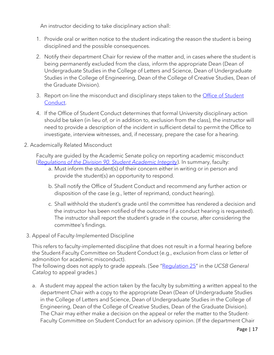An instructor deciding to take disciplinary action shall:

- 1. Provide oral or written notice to the student indicating the reason the student is being disciplined and the possible consequences.
- 2. Notify their department Chair for review of the matter and, in cases where the student is being permanently excluded from the class, inform the appropriate Dean (Dean of Undergraduate Studies in the College of Letters and Science, Dean of Undergraduate Studies in the College of Engineering, Dean of the College of Creative Studies, Dean of the Graduate Division).
- 3. Report on-line the misconduct and disciplinary steps taken to the *Office of Student* [Conduct.](http://studentconduct.sa.ucsb.edu/)
- 4. If the Office of Student Conduct determines that formal University disciplinary action should be taken (in lieu of, or in addition to, exclusion from the class), the instructor will need to provide a description of the incident in sufficient detail to permit the Office to investigate, interview witnesses, and, if necessary, prepare the case for a hearing.
- 2. Academically Related Misconduct

Faculty are guided by the Academic Senate policy on reporting academic misconduct (*[Regulations of the Division 90. Student Academic Integrity](https://senate.ucsb.edu/manual/regulations/Chapter_I/Section_10/)*). In summary, faculty:

- a. Must inform the student(s) of their concern either in writing or in person and provide the student(s) an opportunity to respond.
- b. Shall notify the Office of Student Conduct and recommend any further action or disposition of the case (e.g., letter of reprimand, conduct hearing).
- c. Shall withhold the student's grade until the committee has rendered a decision and the instructor has been notified of the outcome (if a conduct hearing is requested). The instructor shall report the student's grade in the course, after considering the committee's findings.
- 3. Appeal of Faculty-Implemented Discipline

This refers to faculty-implemented discipline that does not result in a formal hearing before the Student-Faculty Committee on Student Conduct (e.g., exclusion from class or letter of admonition for academic misconduct).

The following does not apply to grade appeals. (See "[Regulation 25](http://my.sa.ucsb.edu/catalog/2012-2013/AcademicPoliciesProcedures/ContestedGrades.aspx)" in the *UCSB General Catalog* to appeal grades.)

a. A student may appeal the action taken by the faculty by submitting a written appeal to the department Chair with a copy to the appropriate Dean (Dean of Undergraduate Studies in the College of Letters and Science, Dean of Undergraduate Studies in the College of Engineering, Dean of the College of Creative Studies, Dean of the Graduate Division). The Chair may either make a decision on the appeal or refer the matter to the Student-Faculty Committee on Student Conduct for an advisory opinion. (If the department Chair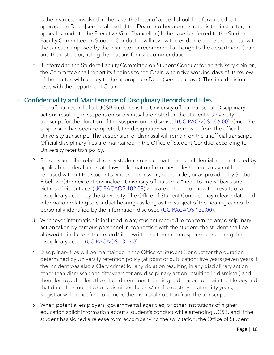is the instructor involved in the case, the letter of appeal should be forwarded to the appropriate Dean [see list above]. If the Dean or other administrator is the instructor, the appeal is made to the Executive Vice Chancellor.) If the case is referred to the Student-Faculty Committee on Student Conduct, it will review the evidence and either concur with the sanction imposed by the instructor or recommend a change to the department Chair and the instructor, listing the reasons for its recommendation.

b. If referred to the Student-Faculty Committee on Student Conduct for an advisory opinion, the Committee shall report its findings to the Chair, within five working days of its review of the matter, with a copy to the appropriate Dean (see 1b, above). The final decision rests with the department Chair.

## F. Confidentiality and Maintenance of Disciplinary Records and Files

- 1. The official record of all UCSB students is the University official transcript. Disciplinary actions resulting in suspension or dismissal are noted on the student's University transcript for the duration of the suspension or dismissal [\(UC PACAOS 106.00\)](https://policy.ucop.edu/doc/2710530/PACAOS-100). Once the suspension has been completed, the designation will be removed from the official University transcript. The suspension or dismissal will remain on the unofficial transcript. Official disciplinary files are maintained in the Office of Student Conduct according to University retention policy.
- 2. Records and files related to any student conduct matter are confidential and protected by applicable federal and state laws. Information from these files/records may not be released without the student's written permission, court order, or as provided by Section F below. Other exceptions include University officials on a "need to know" basis and victims of violent acts [\(UC PACAOS 102.08\)](https://policy.ucop.edu/doc/2710530/PACAOS-100) who are entitled to know the results of a disciplinary action by the University. The Office of Student Conduct may release data and information relating to conduct hearings as long as the subject of the hearing cannot be personally identified by the information disclosed [\(UC PACAOS 130.00\)](https://policy.ucop.edu/doc/2710533/PACAOS-130).
- 3. Whenever information is included in any student record/file concerning any disciplinary action taken by campus personnel in connection with the student, the student shall be allowed to include in the record/file a written statement or response concerning the disciplinary action [\(UC PACAOS 131.40\)](https://policy.ucop.edu/doc/2710533/PACAOS-130).
- 4. Disciplinary files will be maintained in the Office of Student Conduct for the duration determined by University retention policy (at point of publication: five years (seven years if the incident was also a Clery crime) for any violation resulting in any disciplinary action other than dismissal; and fifty years for any disciplinary action resulting in dismissal) and then destroyed unless the office determines there is good reason to retain the file beyond that date. If a student who is dismissed has his/her file destroyed after fifty years, the Registrar will be notified to remove the dismissal notation from the transcript.
- 5. When potential employers, governmental agencies, or other institutions of higher education solicit information about a student's conduct while attending UCSB, and if the student has signed a release form accompanying the solicitation, the Office of Student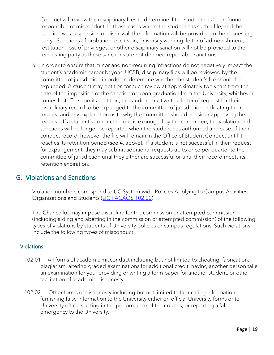Conduct will review the disciplinary files to determine if the student has been found responsible of misconduct. In those cases where the student has such a file, and the sanction was suspension or dismissal, the information will be provided to the requesting party. Sanctions of probation, exclusion, university warning, letter of admonishment, restitution, loss of privileges, or other disciplinary sanction will not be provided to the requesting party as these sanctions are not deemed reportable sanctions.

6. In order to ensure that minor and non-recurring infractions do not negatively impact the student's academic career beyond UCSB, disciplinary files will be reviewed by the committee of jurisdiction in order to determine whether the student's file should be expunged. A student may petition for such review at approximately two years from the date of the imposition of the sanction or upon graduation from the University, whichever comes first. To submit a petition, the student must write a letter of request for their disciplinary record to be expunged to the committee of jurisdiction, indicating their request and any explanation as to why the committee should consider approving their request. If a student's conduct record is expunged by the committee, the violation and sanctions will no longer be reported when the student has authorized a release of their conduct record, however the file will remain in the Office of Student Conduct until it reaches its retention period (see 4. above). If a student is not successful in their request for expungement, they may submit additional requests up to once per quarter to the committee of jurisdiction until they either are successful or until their record meets its retention expiration.

## G. Violations and Sanctions

Violation numbers correspond to UC System-wide Policies Applying to Campus Activities, Organizations and Students [\(UC PACAOS 102.00\)](https://policy.ucop.edu/doc/2710530/PACAOS-100)

The Chancellor may impose discipline for the commission or attempted commission (including aiding and abetting in the commission or attempted commission) of the following types of violations by students of University policies or campus regulations. Such violations, include the following types of misconduct:

#### Violations:

- 102.01 All forms of academic misconduct including but not limited to cheating, fabrication, plagiarism, altering graded examinations for additional credit, having another person take an examination for you, providing or writing a term paper for another student, or other facilitation of academic dishonesty.
- 102.02 Other forms of dishonesty including but not limited to fabricating information, furnishing false information to the University either on official University forms or to University officials acting in the performance of their duties, or reporting a false emergency to the University.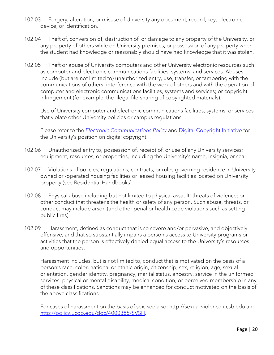- 102.03 Forgery, alteration, or misuse of University any document, record, key, electronic device, or identification.
- 102.04 Theft of, conversion of, destruction of, or damage to any property of the University, or any property of others while on University premises, or possession of any property when the student had knowledge or reasonably should have had knowledge that it was stolen.
- 102.05 Theft or abuse of University computers and other University electronic resources such as computer and electronic communications facilities, systems, and services. Abuses include (but are not limited to) unauthorized entry, use, transfer, or tampering with the communications of others; interference with the work of others and with the operation of computer and electronic communications facilities, systems and services; or copyright infringement (for example, the illegal file-sharing of copyrighted materials).

Use of University computer and electronic communications facilities, systems, or services that violate other University policies or campus regulations.

Please refer to the *[Electronic Communications Policy](http://policy.ucop.edu/doc/7000470)* and [Digital Copyright Initiative](http://www.ucop.edu/information-technology-services/initiatives/) for the University's position on digital copyright.

- 102.06 Unauthorized entry to, possession of, receipt of, or use of any University services; equipment, resources, or properties, including the University's name, insignia, or seal.
- 102.07 Violations of policies, regulations, contracts, or rules governing residence in Universityowned or -operated housing facilities or leased housing facilities located on University property (see Residential Handbooks).
- 102.08 Physical abuse including but not limited to physical assault; threats of violence; or other conduct that threatens the health or safety of any person. Such abuse, threats, or conduct may include arson (and other penal or health code violations such as setting public fires).
- 102.09 Harassment, defined as conduct that is so severe and/or pervasive, and objectively offensive, and that so substantially impairs a person's access to University programs or activities that the person is effectively denied equal access to the University's resources and opportunities.

Harassment includes, but is not limited to, conduct that is motivated on the basis of a person's race, color, national or ethnic origin, citizenship, sex, religion, age, sexual orientation, gender identity, pregnancy, marital status, ancestry, service in the uniformed services, physical or mental disability, medical condition, or perceived membership in any of these classifications. Sanctions may be enhanced for conduct motivated on the basis of the above classifications.

For cases of harassment on the basis of sex, see also: http://sexual violence.ucsb.edu and [http://policy.ucop.edu/doc/4000385/SVSH.](http://policy.ucop.edu/doc/4000385/SVSH)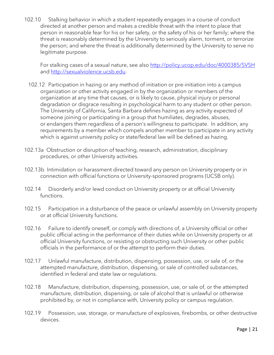102.10 Stalking behavior in which a student repeatedly engages in a course of conduct directed at another person and makes a credible threat with the intent to place that person in reasonable fear for his or her safety, or the safety of his or her family; where the threat is reasonably determined by the University to seriously alarm, torment, or terrorize the person; and where the threat is additionally determined by the University to serve no legitimate purpose.

For stalking cases of a sexual nature, see also<http://policy.ucop.edu/doc/4000385/SVSH> and [http://sexualviolence.ucsb.edu.](http://sexualviolence.ucsb.edu/)

- 102.12 Participation in hazing or any method of initiation or pre-initiation into a campus organization or other activity engaged in by the organization or members of the organization at any time that causes, or is likely to cause, physical injury or personal degradation or disgrace resulting in psychological harm to any student or other person. The University of California, Santa Barbara defines hazing as any activity expected of someone joining or participating in a group that humiliates, degrades, abuses, or endangers them regardless of a person's willingness to participate. In addition, any requirements by a member which compels another member to participate in any activity which is against university policy or state/federal law will be defined as hazing.
- 102.13a Obstruction or disruption of teaching, research, administration, disciplinary procedures, or other University activities.
- 102.13b Intimidation or harassment directed toward any person on University property or in connection with official functions or University-sponsored programs (UCSB only).
- 102.14 Disorderly and/or lewd conduct on University property or at official University functions.
- 102.15 Participation in a disturbance of the peace or unlawful assembly on University property or at official University functions.
- 102.16 Failure to identify oneself, or comply with directions of, a University official or other public official acting in the performance of their duties while on University property or at official University functions, or resisting or obstructing such University or other public officials in the performance of or the attempt to perform their duties.
- 102.17 Unlawful manufacture, distribution, dispensing, possession, use, or sale of, or the attempted manufacture, distribution, dispensing, or sale of controlled substances, identified in federal and state law or regulations.
- 102.18 Manufacture, distribution, dispensing, possession, use, or sale of, or the attempted manufacture, distribution, dispensing, or sale of alcohol that is unlawful or otherwise prohibited by, or not in compliance with, University policy or campus regulation.
- 102.19 Possession, use, storage, or manufacture of explosives, firebombs, or other destructive devices.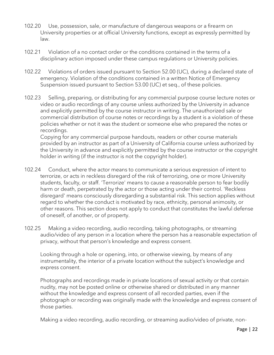- 102.20 Use, possession, sale, or manufacture of dangerous weapons or a firearm on University properties or at official University functions, except as expressly permitted by law.
- 102.21 Violation of a no contact order or the conditions contained in the terms of a disciplinary action imposed under these campus regulations or University policies.
- 102.22 Violations of orders issued pursuant to Section 52.00 (UC), during a declared state of emergency. Violation of the conditions contained in a written Notice of Emergency Suspension issued pursuant to Section 53.00 (UC) et seq., of these policies.
- 102.23 Selling, preparing, or distributing for any commercial purpose course lecture notes or video or audio recordings of any course unless authorized by the University in advance and explicitly permitted by the course instructor in writing. The unauthorized sale or commercial distribution of course notes or recordings by a student is a violation of these policies whether or not it was the student or someone else who prepared the notes or recordings.

Copying for any commercial purpose handouts, readers or other course materials provided by an instructor as part of a University of California course unless authorized by the University in advance and explicitly permitted by the course instructor or the copyright holder in writing (if the instructor is not the copyright holder).

- 102.24 Conduct, where the actor means to communicate a serious expression of intent to terrorize, or acts in reckless disregard of the risk of terrorizing, one or more University students, faculty, or staff. 'Terrorize' means to cause a reasonable person to fear bodily harm or death, perpetrated by the actor or those acting under their control. 'Reckless disregard' means consciously disregarding a substantial risk. This section applies without regard to whether the conduct is motivated by race, ethnicity, personal animosity, or other reasons. This section does not apply to conduct that constitutes the lawful defense of oneself, of another, or of property.
- 102.25 Making a video recording, audio recording, taking photographs, or streaming audio/video of any person in a location where the person has a reasonable expectation of privacy, without that person's knowledge and express consent.

Looking through a hole or opening, into, or otherwise viewing, by means of any instrumentality, the interior of a private location without the subject's knowledge and express consent.

Photographs and recordings made in private locations of sexual activity or that contain nudity, may not be posted online or otherwise shared or distributed in any manner without the knowledge and express consent of all recorded parties, even if the photograph or recording was originally made with the knowledge and express consent of those parties.

Making a video recording, audio recording, or streaming audio/video of private, non-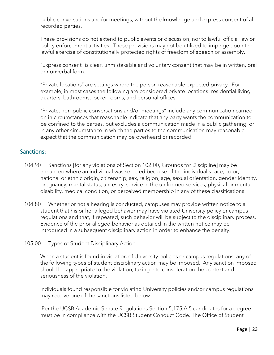public conversations and/or meetings, without the knowledge and express consent of all recorded parties.

These provisions do not extend to public events or discussion, nor to lawful official law or policy enforcement activities. These provisions may not be utilized to impinge upon the lawful exercise of constitutionally protected rights of freedom of speech or assembly.

"Express consent" is clear, unmistakable and voluntary consent that may be in written, oral or nonverbal form.

"Private locations" are settings where the person reasonable expected privacy. For example, in most cases the following are considered private locations: residential living quarters, bathrooms, locker rooms, and personal offices.

"Private, non-public conversations and/or meetings" include any communication carried on in circumstances that reasonable indicate that any party wants the communication to be confined to the parties, but excludes a communication made in a public gathering, or in any other circumstance in which the parties to the communication may reasonable expect that the communication may be overheard or recorded.

### Sanctions:

- 104.90 Sanctions [for any violations of Section 102.00, Grounds for Discipline] may be enhanced where an individual was selected because of the individual's race, color, national or ethnic origin, citizenship, sex, religion, age, sexual orientation, gender identity, pregnancy, marital status, ancestry, service in the uniformed services, physical or mental disability, medical condition, or perceived membership in any of these classifications.
- 104.80 Whether or not a hearing is conducted, campuses may provide written notice to a student that his or her alleged behavior may have violated University policy or campus regulations and that, if repeated, such behavior will be subject to the disciplinary process. Evidence of the prior alleged behavior as detailed in the written notice may be introduced in a subsequent disciplinary action in order to enhance the penalty.
- 105.00 Types of Student Disciplinary Action

When a student is found in violation of University policies or campus regulations, any of the following types of student disciplinary action may be imposed. Any sanction imposed should be appropriate to the violation, taking into consideration the context and seriousness of the violation.

Individuals found responsible for violating University policies and/or campus regulations may receive one of the sanctions listed below.

 Per the UCSB Academic Senate Regulations Section 5,175,A,5 candidates for a degree must be in compliance with the UCSB Student Conduct Code. The Office of Student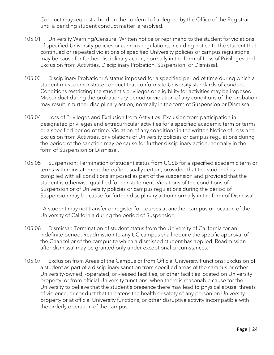Conduct may request a hold on the conferral of a degree by the Office of the Registrar until a pending student conduct matter is resolved.

- 105.01 University Warning/Censure: Written notice or reprimand to the student for violations of specified University policies or campus regulations, including notice to the student that continued or repeated violations of specified University policies or campus regulations may be cause for further disciplinary action, normally in the form of Loss of Privileges and Exclusion from Activities, Disciplinary Probation, Suspension, or Dismissal.
- 105.03 Disciplinary Probation: A status imposed for a specified period of time during which a student must demonstrate conduct that conforms to University standards of conduct. Conditions restricting the student's privileges or eligibility for activities may be imposed. Misconduct during the probationary period or violation of any conditions of the probation may result in further disciplinary action, normally in the form of Suspension or Dismissal.
- 105.04 Loss of Privileges and Exclusion from Activities: Exclusion from participation in designated privileges and extracurricular activities for a specified academic term or terms or a specified period of time. Violation of any conditions in the written Notice of Loss and Exclusion from Activities, or violations of University policies or campus regulations during the period of the sanction may be cause for further disciplinary action, normally in the form of Suspension or Dismissal.
- 105.05 Suspension: Termination of student status from UCSB for a specified academic term or terms with reinstatement thereafter usually certain, provided that the student has complied with all conditions imposed as part of the suspension and provided that the student is otherwise qualified for reinstatement. Violations of the conditions of Suspension or of University policies or campus regulations during the period of Suspension may be cause for further disciplinary action normally in the form of Dismissal.

 A student may not transfer or register for courses at another campus or location of the University of California during the period of Suspension.

- 105.06 Dismissal: Termination of student status from the University of California for an indefinite period. Readmission to any UC campus shall require the specific approval of the Chancellor of the campus to which a dismissed student has applied. Readmission after dismissal may be granted only under exceptional circumstances.
- 105.07 Exclusion from Areas of the Campus or from Official University Functions: Exclusion of a student as part of a disciplinary sanction from specified areas of the campus or other University-owned, -operated, or –leased facilities, or other facilities located on University property, or from official University functions, when there is reasonable cause for the University to believe that the student's presence there may lead to physical abuse, threats of violence, or conduct that threatens the health or safety of any person on University property or at official University functions, or other disruptive activity incompatible with the orderly operation of the campus.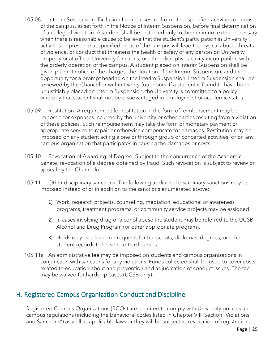- 105.08 Interim Suspension: Exclusion from classes, or from other specified activities or areas of the campus, as set forth in the Notice of Interim Suspension, before final determination of an alleged violation. A student shall be restricted only to the minimum extent necessary when there is reasonable cause to believe that the student's participation in University activities or presence at specified areas of the campus will lead to physical abuse, threats of violence, or conduct that threatens the health or safety of any person on University property or at official University functions, or other disruptive activity incompatible with the orderly operation of the campus. A student placed on Interim Suspension shall be given prompt notice of the charges, the duration of the Interim Suspension, and the opportunity for a prompt hearing on the Interim Suspension. Interim Suspension shall be reviewed by the Chancellor within twenty-four hours. If a student is found to have been unjustifiably placed on Interim Suspension, the University is committed to a policy whereby that student shall not be disadvantaged in employment or academic status.
- 105.09 Restitution: A requirement for restitution in the form of reimbursement may be imposed for expenses incurred by the university or other parties resulting from a violation of these policies. Such reimbursement may take the form of monetary payment or appropriate service to repair or otherwise compensate for damages. Restitution may be imposed on any student acting alone or through group or concerted activities, or on any campus organization that participates in causing the damages or costs.
- 105.10 Revocation of Awarding of Degree: Subject to the concurrence of the Academic Senate, revocation of a degree obtained by fraud. Such revocation is subject to review on appeal by the Chancellor.
- 105.11 Other disciplinary sanctions: The following additional disciplinary sanctions may be imposed instead of or in addition to the sanctions enumerated above:
	- 1) Work, research projects, counseling, mediation, educational or awareness programs, treatment programs, or community service projects may be assigned.
	- 2) In cases involving drug or alcohol abuse the student may be referred to the UCSB Alcohol and Drug Program (or other appropriate program).
	- 3) Holds may be placed on requests for transcripts, diplomas, degrees, or other student records to be sent to third parties.
- 105.11a An administrative fee may be imposed on students and campus organizations in conjunction with sanctions for any violations. Funds collected shall be used to cover costs related to education about and prevention and adjudication of conduct issues. The fee may be waived for hardship cases (UCSB only).

## H. Registered Campus Organization Conduct and Discipline

Registered Campus Organizations (RCOs) are required to comply with University policies and campus regulations (including the behavioral codes listed in Chapter VIII, Section "Violations and Sanctions") as well as applicable laws or they will be subject to revocation of registration,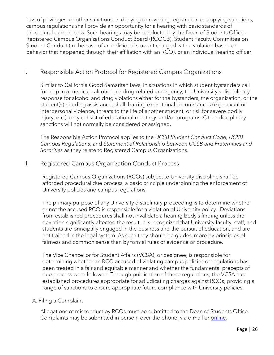loss of privileges, or other sanctions. In denying or revoking registration or applying sanctions, campus regulations shall provide an opportunity for a hearing with basic standards of procedural due process. Such hearings may be conducted by the Dean of Students Office - Registered Campus Organizations Conduct Board (RCOCB), Student Faculty Committee on Student Conduct (in the case of an individual student charged with a violation based on behavior that happened through their affiliation with an RCO), or an individual hearing officer.

## I. Responsible Action Protocol for Registered Campus Organizations

Similar to California Good Samaritan laws, in situations in which student bystanders call for help in a medical-, alcohol-, or drug-related emergency, the University's disciplinary response for alcohol and drug violations either for the bystanders, the organization, or the student(s) needing assistance, shall, barring exceptional circumstances (e.g. sexual or interpersonal violence, threats to the life of another student, or risk for severe bodily injury, etc.), only consist of educational meetings and/or programs. Other disciplinary sanctions will not normally be considered or assigned.

The Responsible Action Protocol applies to the *UCSB Student Conduct Code, UCSB Campus Regulations*, and *Statement of Relationship between UCSB and Fraternities and Sororities* as they relate to Registered Campus Organizations.

## II. Registered Campus Organization Conduct Process

Registered Campus Organizations (RCOs) subject to University discipline shall be afforded procedural due process, a basic principle underpinning the enforcement of University policies and campus regulations.

The primary purpose of any University disciplinary proceeding is to determine whether or not the accused RCO is responsible for a violation of University policy. Deviations from established procedures shall not invalidate a hearing body's finding unless the deviation significantly affected the result. It is recognized that University faculty, staff, and students are principally engaged in the business and the pursuit of education, and are not trained in the legal system. As such they should be guided more by principles of fairness and common sense than by formal rules of evidence or procedure.

The Vice Chancellor for Student Affairs (VCSA), or designee, is responsible for determining whether an RCO accused of violating campus policies or regulations has been treated in a fair and equitable manner and whether the fundamental precepts of due process were followed. Through publication of these regulations, the VCSA has established procedures appropriate for adjudicating charges against RCOs, providing a range of sanctions to ensure appropriate future compliance with University policies.

#### A. Filing a Complaint

Allegations of misconduct by RCOs must be submitted to the Dean of Students Office. Complaints may be submitted in person, over the phone, via e-mail or *online*.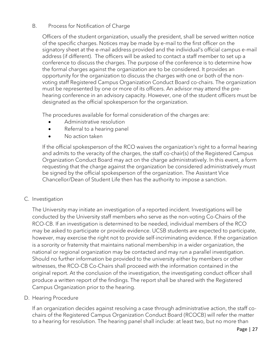#### B. Process for Notification of Charge

Officers of the student organization, usually the president, shall be served written notice of the specific charges. Notices may be made by e-mail to the first officer on the signatory sheet at the e-mail address provided and the individual's official campus e-mail address (if different). The officers will be asked to contact a staff member to set up a conference to discuss the charges. The purpose of the conference is to determine how the formal charges against the organization are to be considered. It provides an opportunity for the organization to discuss the charges with one or both of the nonvoting staff Registered Campus Organization Conduct Board co-chairs. The organization must be represented by one or more of its officers. An advisor may attend the prehearing conference in an advisory capacity. However, one of the student officers must be designated as the official spokesperson for the organization.

The procedures available for formal consideration of the charges are:

- Administrative resolution
- Referral to a hearing panel
- No action taken

If the official spokesperson of the RCO waives the organization's right to a formal hearing and admits to the veracity of the charges, the staff co-chair(s) of the Registered Campus Organization Conduct Board may act on the charge administratively. In this event, a form requesting that the charge against the organization be considered administratively must be signed by the official spokesperson of the organization. The Assistant Vice Chancellor/Dean of Student Life then has the authority to impose a sanction.

### C. Investigation

The University may initiate an investigation of a reported incident. Investigations will be conducted by the University staff members who serve as the non-voting Co-Chairs of the RCO-CB. If an investigation is determined to be needed, individual members of the RCO may be asked to participate or provide evidence. UCSB students are expected to participate, however, may exercise the right not to provide self-incriminating evidence. If the organization is a sorority or fraternity that maintains national membership in a wider organization, the national or regional organization may be contacted and may run a parallel investigation. Should no further information be provided to the university either by members or other witnesses, the RCO-CB Co-Chairs shall proceed with the information contained in the original report. At the conclusion of the investigation, the investigating conduct officer shall produce a written report of the findings. The report shall be shared with the Registered Campus Organization prior to the hearing.

D. Hearing Procedure

If an organization decides against resolving a case through administrative action, the staff cochairs of the Registered Campus Organization Conduct Board (RCOCB) will refer the matter to a hearing for resolution. The hearing panel shall include: at least two, but no more than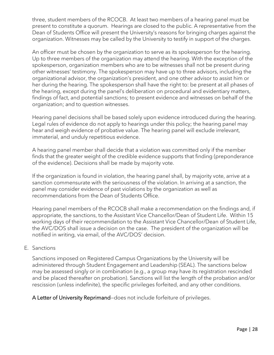three, student members of the RCOCB. At least two members of a hearing panel must be present to constitute a quorum. Hearings are closed to the public. A representative from the Dean of Students Office will present the University's reasons for bringing charges against the organization. Witnesses may be called by the University to testify in support of the charges.

An officer must be chosen by the organization to serve as its spokesperson for the hearing. Up to three members of the organization may attend the hearing. With the exception of the spokesperson, organization members who are to be witnesses shall not be present during other witnesses' testimony. The spokesperson may have up to three advisors, including the organizational advisor, the organization's president, and one other advisor to assist him or her during the hearing. The spokesperson shall have the right to: be present at all phases of the hearing, except during the panel's deliberation on procedural and evidentiary matters, findings of fact, and potential sanctions; to present evidence and witnesses on behalf of the organization; and to question witnesses.

Hearing panel decisions shall be based solely upon evidence introduced during the hearing. Legal rules of evidence do not apply to hearings under this policy; the hearing panel may hear and weigh evidence of probative value. The hearing panel will exclude irrelevant, immaterial, and unduly repetitious evidence.

A hearing panel member shall decide that a violation was committed only if the member finds that the greater weight of the credible evidence supports that finding (preponderance of the evidence). Decisions shall be made by majority vote.

If the organization is found in violation, the hearing panel shall, by majority vote, arrive at a sanction commensurate with the seriousness of the violation. In arriving at a sanction, the panel may consider evidence of past violations by the organization as well as recommendations from the Dean of Students Office.

Hearing panel members of the RCOCB shall make a recommendation on the findings and, if appropriate, the sanctions, to the Assistant Vice Chancellor/Dean of Student Life. Within 15 working days of their recommendation to the Assistant Vice Chancellor/Dean of Student Life, the AVC/DOS shall issue a decision on the case. The president of the organization will be notified in writing, via email, of the AVC/DOS' decision.

#### E. Sanctions

Sanctions imposed on Registered Campus Organizations by the University will be administered through Student Engagement and Leadership (SEAL). The sanctions below may be assessed singly or in combination (e.g., a group may have its registration rescinded and be placed thereafter on probation). Sanctions will list the length of the probation and/or rescission (unless indefinite), the specific privileges forfeited, and any other conditions.

A Letter of University Reprimand—does not include forfeiture of privileges.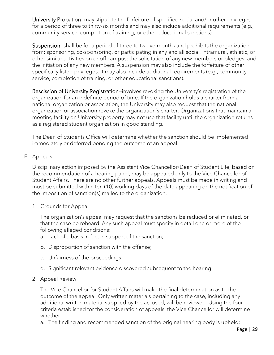University Probation–may stipulate the forfeiture of specified social and/or other privileges for a period of three to thirty-six months and may also include additional requirements (e.g., community service, completion of training, or other educational sanctions).

Suspension—shall be for a period of three to twelve months and prohibits the organization from: sponsoring, co-sponsoring, or participating in any and all social, intramural, athletic, or other similar activities on or off campus; the solicitation of any new members or pledges; and the initiation of any new members. A suspension may also include the forfeiture of other specifically listed privileges. It may also include additional requirements (e.g., community service, completion of training, or other educational sanctions).

Rescission of University Registration—involves revoking the University's registration of the organization for an indefinite period of time. If the organization holds a charter from a national organization or association, the University may also request that the national organization or association revoke the organization's charter. Organizations that maintain a meeting facility on University property may not use that facility until the organization returns as a registered student organization in good standing.

The Dean of Students Office will determine whether the sanction should be implemented immediately or deferred pending the outcome of an appeal.

F. Appeals

Disciplinary action imposed by the Assistant Vice Chancellor/Dean of Student Life, based on the recommendation of a hearing panel, may be appealed only to the Vice Chancellor of Student Affairs. There are no other further appeals. Appeals must be made in writing and must be submitted within ten (10) working days of the date appearing on the notification of the imposition of sanction(s) mailed to the organization.

1. Grounds for Appeal

The organization's appeal may request that the sanctions be reduced or eliminated, or that the case be reheard. Any such appeal must specify in detail one or more of the following alleged conditions:

- a. Lack of a basis in fact in support of the sanction;
- b. Disproportion of sanction with the offense;
- c. Unfairness of the proceedings;
- d. Significant relevant evidence discovered subsequent to the hearing.
- 2. Appeal Review

The Vice Chancellor for Student Affairs will make the final determination as to the outcome of the appeal. Only written materials pertaining to the case, including any additional written material supplied by the accused, will be reviewed. Using the four criteria established for the consideration of appeals, the Vice Chancellor will determine whether:

a. The finding and recommended sanction of the original hearing body is upheld;